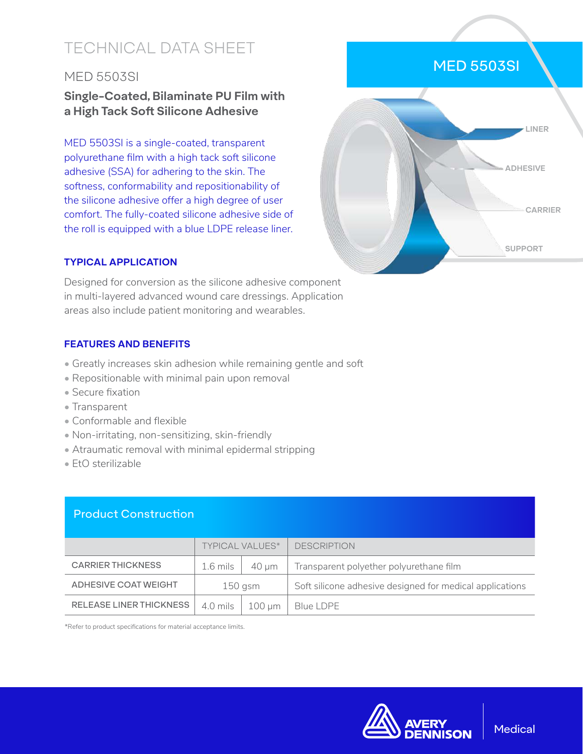# TECHNICAL DATA SHEET

# MED 5503SI

# **Single-Coated, Bilaminate PU Film with a High Tack Soft Silicone Adhesive**

MED 5503SI is a single-coated, transparent polyurethane film with a high tack soft silicone adhesive (SSA) for adhering to the skin. The softness, conformability and repositionability of the silicone adhesive offer a high degree of user comfort. The fully-coated silicone adhesive side of the roll is equipped with a blue LDPE release liner.

# MED 5503SI **LINER ADHESIVE CARRIER SUPPORT**

## **TYPICAL APPLICATION**

Designed for conversion as the silicone adhesive component in multi-layered advanced wound care dressings. Application areas also include patient monitoring and wearables.

### **FEATURES AND BENEFITS**

- Greatly increases skin adhesion while remaining gentle and soft
- Repositionable with minimal pain upon removal
- Secure fixation
- Transparent
- Conformable and flexible
- Non-irritating, non-sensitizing, skin-friendly
- Atraumatic removal with minimal epidermal stripping
- EtO sterilizable

# Product Construction

|                          | <b>TYPICAL VALUES*</b> |             | <b>DESCRIPTION</b>                                       |
|--------------------------|------------------------|-------------|----------------------------------------------------------|
| <b>CARRIER THICKNESS</b> | 1.6 mils               | 40 um       | Transparent polyether polyurethane film                  |
| ADHESIVE COAT WEIGHT     | 150 gsm                |             | Soft silicone adhesive designed for medical applications |
| RELEASE LINER THICKNESS  | 4.0 mils               | $100 \mu m$ | Blue LDPE                                                |

\*Refer to product specifications for material acceptance limits.